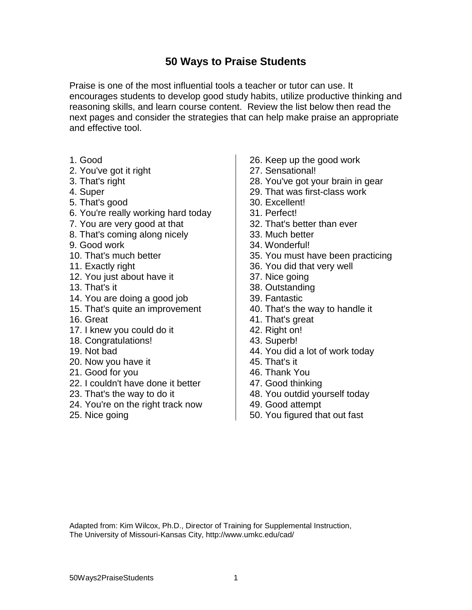## **50 Ways to Praise Students**

Praise is one of the most influential tools a teacher or tutor can use. It encourages students to develop good study habits, utilize productive thinking and reasoning skills, and learn course content. Review the list below then read the next pages and consider the strategies that can help make praise an appropriate and effective tool.

- 1. Good
- 2. You've got it right
- 3. That's right
- 4. Super
- 5. That's good
- 6. You're really working hard today
- 7. You are very good at that
- 8. That's coming along nicely
- 9. Good work
- 10. That's much better
- 11. Exactly right
- 12. You just about have it
- 13. That's it
- 14. You are doing a good job
- 15. That's quite an improvement
- 16. Great
- 17. I knew you could do it
- 18. Congratulations!
- 19. Not bad
- 20. Now you have it
- 21. Good for you
- 22. I couldn't have done it better
- 23. That's the way to do it
- 24. You're on the right track now
- 25. Nice going
- 26. Keep up the good work
- 27. Sensational!
- 28. You've got your brain in gear
- 29. That was first-class work
- 30. Excellent!
- 31. Perfect!
- 32. That's better than ever
- 33. Much better
- 34. Wonderful!
- 35. You must have been practicing
- 36. You did that very well
- 37. Nice going
- 38. Outstanding
- 39. Fantastic
- 40. That's the way to handle it
- 41. That's great
- 42. Right on!
- 43. Superb!
- 44. You did a lot of work today
- 45. That's it
- 46. Thank You
- 47. Good thinking
- 48. You outdid yourself today
- 49. Good attempt
- 50. You figured that out fast

Adapted from: Kim Wilcox, Ph.D., Director of Training for Supplemental Instruction, The University of Missouri-Kansas City, http://www.umkc.edu/cad/